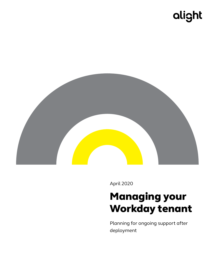# alight



April 2020

## Managing your Workday tenant

Planning for ongoing support after deployment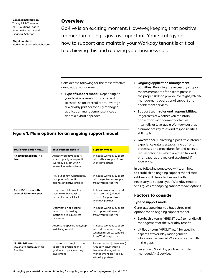Contact information Tracey Pilch Thoendel AMS Solutions Leader Human Resources and Financial Solutions

#### **Alight Solutions**

[workday.solutions@alight.com](mailto:workday.solutions%40alight.com?subject=)

#### **Overview**

Go-live is an exciting moment. However, keeping that positive momentum going is just as important. Your strategy on how to support and maintain your Workday tenant is critical to achieving this and realizing your business case.

Consider the following for the most effective day-to-day management:

• **Type of support model:** Depending on your business needs, it may be best to establish an internal team, leverage a Workday partner for fully managed application management services or adopt a hybrid approach.

#### **Figure 1:** Main options for an ongoing support model

| Your organization has                                       | Your business need is                                                                                          | <b>Support model</b>                                                                                                         |
|-------------------------------------------------------------|----------------------------------------------------------------------------------------------------------------|------------------------------------------------------------------------------------------------------------------------------|
| An established HRST/IT<br>team                              | Ad hoc Workday support<br>when capacity or a specific<br>Workday skill set within<br>internal team is an issue | In-house Workday support<br>with ad hoc support from<br>Workday partner                                                      |
|                                                             | Roll-out of new functionality<br>or support of specific<br>business initiative/project                         | In-house Workday support<br>with project/event support<br>from Workday partner                                               |
| An HRIS/IT team with<br>some skill/domain gaps              | Large project, loss of key<br>resource or backlog in a<br>particular area/skillset                             | In-house Workday support<br>with recurring (aligned<br>resource) support from<br>Workday partner                             |
|                                                             | Optimization of existing<br>tenant or addressing<br>inefficiencies in business<br>processes                    | In-house Workday support<br>with optimization support<br>from Workday partner                                                |
|                                                             | Addressing specific need/gap<br>in delivery model                                                              | In-house Workday support<br>with ad-hoc or recurring<br>(aligned resource) support<br>from Workday partner                   |
| No HRIS/IT team or<br>looking to outsource this<br>function | Long-term strategic partner<br>to provide oversight and<br>quidance of your Workday<br>investment              | Fully managed (outsourced)<br>AMS services, including<br>tenant and integration<br>management provided by<br>Workday partner |

- **Ongoing application management activities:** Providing the necessary support means members of the team possess the proper skills to provide oversight, release management, operational support and enablement services.
- **Support team roles and responsibilities:** Regardless of whether you maintain application management activities internally or leverage a Workday partner, a number of key roles and responsibilities still apply.
- **Governance:** Delivering a positive customer experience entails establishing upfront processes and procedures for end-users to request changes, which are then tracked, prioritized, approved and escalated, if necessary.

In the following pages, you will learn how to establish an ongoing support model that addresses all the activities and skills necessary to support your Workday tenant. *See Figure 1 for ongoing support model options.*

## Factors to consider

#### **Type of support model**

Generally speaking, you have three main options for an ongoing support model.

- Establish a team (HRIS, IT, etc.) to handle all management of the Workday tenant
- Utilize a team (HRIS, IT, etc.) for specific aspects of Workday management, while an experienced Workday partner fills in the gaps
- Leverage a Workday partner for fully managed AMS services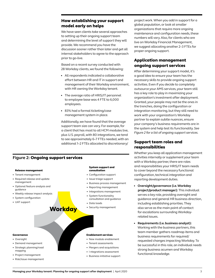## How establishing your support model early on helps

We have seen clients take several approaches to setting up their ongoing support team and determining the level of support they will provide. We recommend you have the discussion sooner rather than later and get all internal stakeholders to agree to the approach prior to go-live.

Based on a recent survey conducted with 28 Workday clients, we found the following:

- All respondents indicated a collaborative effort between HR and IT in support and management of their Workday environment, with HR owning the Workday tenant.
- The average ratio of HRIS/IT personnel to employee base was 4 FTE to 6,000 employees.
- 83% had a formal ticketing/case management system in place.

Additionally, we have found that the average support team size can vary. For example, for a client that has most to all HCM modules live, plus U.S. payroll, with 80 integrations, we tend to see approximately 6–7 FTEs needed, with an additional 1–2 FTEs allocated to discretionary/

## **Figure 2:** Ongoing support services



#### project work. When you add in support for a global population, or look at smaller organizations that require more ongoing maintenance and configuration needs, these numbers will vary. Also, for clients who are live on Workday Financial Management, we suggest allocating another 2–3 FTEs for proper ongoing support.

## Application management ongoing support services

After determining your support model, it's a good idea to ensure your team has the necessary skills to provide ongoing support activities. Even if you decide to completely outsource your AMS services, your team still has a key role to play in maximizing your organization's investment after deployment. Granted, your people may not be the ones in the trenches, doing the configuration or integration monitoring, but they still need to work with your organization's Workday partner to explain subtle nuances, ensure your company's business requirements are in the system and help test its functionality. *See Figure 2 for a list of ongoing support services.*

## Support team roles and responsibilities

Whether you keep all application management activities internally or supplement your team with a Workday partner, there are roles and responsibilities your HRIS/IT team needs to cover beyond the necessary functional configuration, technical integration and reporting development duties.

- **Oversight/governance (i.e. Workday project/product manager):** This individual serves a key role, providing oversight and guidance and general HR business direction, including establishing priorities. They also serve as the main point of contact for escalations surrounding Workdayrelated issues.
- **Requirements (i.e. business analyst):**  Working with the business partners, this team member gathers roadmap items and business requirements for required/ requested changes impacting Workday. To be successful in this role, an individual needs strong business acumen and Workday functional knowledge.